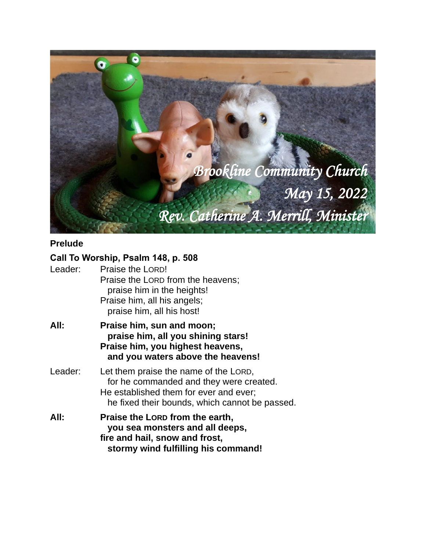

# **Prelude**

## **Call To Worship, Psalm 148, p. 508**

| Leader: | Praise the LORD!<br>Praise the LORD from the heavens;<br>praise him in the heights!<br>Praise him, all his angels;<br>praise him, all his host!                              |  |
|---------|------------------------------------------------------------------------------------------------------------------------------------------------------------------------------|--|
| All:    | Praise him, sun and moon;<br>praise him, all you shining stars!<br>Praise him, you highest heavens,<br>and you waters above the heavens!                                     |  |
| Leader: | Let them praise the name of the LORD,<br>for he commanded and they were created.<br>He established them for ever and ever;<br>he fixed their bounds, which cannot be passed. |  |
| All:    | Praise the Lorp from the earth,<br>you sea monsters and all deeps,<br>fire and hail, snow and frost,<br>stormy wind fulfilling his command!                                  |  |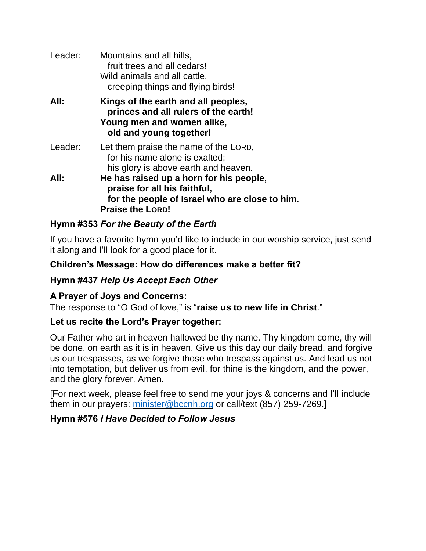| Leader: | Mountains and all hills,<br>fruit trees and all cedars!<br>Wild animals and all cattle,<br>creeping things and flying birds!                         |
|---------|------------------------------------------------------------------------------------------------------------------------------------------------------|
| All:    | Kings of the earth and all peoples,<br>princes and all rulers of the earth!<br>Young men and women alike,<br>old and young together!                 |
| Leader: | Let them praise the name of the LORD,<br>for his name alone is exalted;<br>his glory is above earth and heaven.                                      |
| All:    | He has raised up a horn for his people,<br>praise for all his faithful,<br>for the people of Israel who are close to him.<br><b>Praise the LORD!</b> |

### **Hymn #353** *For the Beauty of the Earth*

If you have a favorite hymn you'd like to include in our worship service, just send it along and I'll look for a good place for it.

#### **Children's Message: How do differences make a better fit?**

### **Hymn #437** *Help Us Accept Each Other*

### **A Prayer of Joys and Concerns:**

The response to "O God of love," is "**raise us to new life in Christ**."

### **Let us recite the Lord's Prayer together:**

Our Father who art in heaven hallowed be thy name. Thy kingdom come, thy will be done, on earth as it is in heaven. Give us this day our daily bread, and forgive us our trespasses, as we forgive those who trespass against us. And lead us not into temptation, but deliver us from evil, for thine is the kingdom, and the power, and the glory forever. Amen.

[For next week, please feel free to send me your joys & concerns and I'll include them in our prayers: [minister@bccnh.org](mailto:minister@bccnh.org) or call/text (857) 259-7269.]

### **Hymn #576** *I Have Decided to Follow Jesus*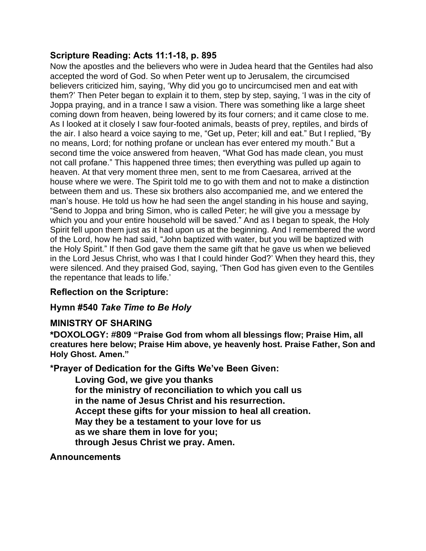### **Scripture Reading: Acts 11:1-18, p. 895**

Now the apostles and the believers who were in Judea heard that the Gentiles had also accepted the word of God. So when Peter went up to Jerusalem, the circumcised believers criticized him, saying, 'Why did you go to uncircumcised men and eat with them?' Then Peter began to explain it to them, step by step, saying, 'I was in the city of Joppa praying, and in a trance I saw a vision. There was something like a large sheet coming down from heaven, being lowered by its four corners; and it came close to me. As I looked at it closely I saw four-footed animals, beasts of prey, reptiles, and birds of the air. I also heard a voice saying to me, "Get up, Peter; kill and eat." But I replied, "By no means, Lord; for nothing profane or unclean has ever entered my mouth." But a second time the voice answered from heaven, "What God has made clean, you must not call profane." This happened three times; then everything was pulled up again to heaven. At that very moment three men, sent to me from Caesarea, arrived at the house where we were. The Spirit told me to go with them and not to make a distinction between them and us. These six brothers also accompanied me, and we entered the man's house. He told us how he had seen the angel standing in his house and saying, "Send to Joppa and bring Simon, who is called Peter; he will give you a message by which you and your entire household will be saved." And as I began to speak, the Holy Spirit fell upon them just as it had upon us at the beginning. And I remembered the word of the Lord, how he had said, "John baptized with water, but you will be baptized with the Holy Spirit." If then God gave them the same gift that he gave us when we believed in the Lord Jesus Christ, who was I that I could hinder God?' When they heard this, they were silenced. And they praised God, saying, 'Then God has given even to the Gentiles the repentance that leads to life.'

### **Reflection on the Scripture:**

## **Hymn #540** *Take Time to Be Holy*

### **MINISTRY OF SHARING**

**\*DOXOLOGY: #809 "Praise God from whom all blessings flow; Praise Him, all creatures here below; Praise Him above, ye heavenly host. Praise Father, Son and Holy Ghost. Amen."**

**\*Prayer of Dedication for the Gifts We've Been Given:**

**Loving God, we give you thanks for the ministry of reconciliation to which you call us in the name of Jesus Christ and his resurrection. Accept these gifts for your mission to heal all creation. May they be a testament to your love for us as we share them in love for you; through Jesus Christ we pray. Amen.**

**Announcements**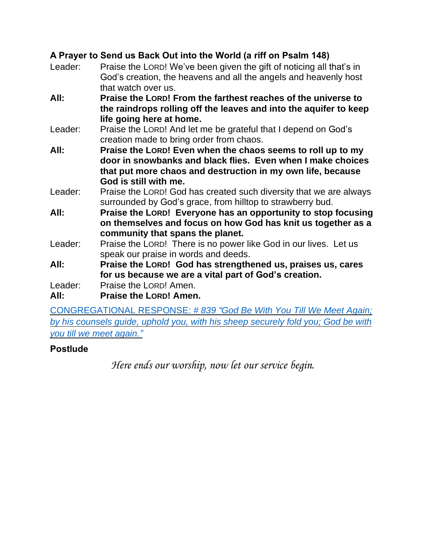# **A Prayer to Send us Back Out into the World (a riff on Psalm 148)**

| Leader: | Praise the LORD! We've been given the gift of noticing all that's in                    |  |  |
|---------|-----------------------------------------------------------------------------------------|--|--|
|         | God's creation, the heavens and all the angels and heavenly host<br>that watch over us. |  |  |
| All:    | Praise the LORD! From the farthest reaches of the universe to                           |  |  |
|         | the raindrops rolling off the leaves and into the aquifer to keep                       |  |  |
|         | life going here at home.                                                                |  |  |
| Leader: | Praise the LORD! And let me be grateful that I depend on God's                          |  |  |
|         | creation made to bring order from chaos.                                                |  |  |
| All:    | Praise the LORD! Even when the chaos seems to roll up to my                             |  |  |
|         | door in snowbanks and black flies. Even when I make choices                             |  |  |
|         | that put more chaos and destruction in my own life, because                             |  |  |
|         | God is still with me.                                                                   |  |  |
| Leader: | Praise the LORD! God has created such diversity that we are always                      |  |  |
|         | surrounded by God's grace, from hilltop to strawberry bud.                              |  |  |
| All:    | Praise the LORD! Everyone has an opportunity to stop focusing                           |  |  |
|         | on themselves and focus on how God has knit us together as a                            |  |  |
|         | community that spans the planet.                                                        |  |  |
| Leader: | Praise the LORD! There is no power like God in our lives. Let us                        |  |  |
|         | speak our praise in words and deeds.                                                    |  |  |
| All:    | Praise the LORD! God has strengthened us, praises us, cares                             |  |  |
|         | for us because we are a vital part of God's creation.                                   |  |  |
| Leader: | Praise the LORD! Amen.                                                                  |  |  |
| All:    | <b>Praise the LORD! Amen.</b>                                                           |  |  |
|         | CONGREGATIONAL RESPONSE: #839 "God Be With You Till We Meet Again;                      |  |  |

*by his [counsels](https://www.youtube.com/watch?v=dQTRoTkkz3g) guide, uphold you, with his sheep securely fold you; God be with you till we meet [again.](https://www.youtube.com/watch?v=dQTRoTkkz3g)"*

# **Postlude**

*Here ends our worship, now let our service begin.*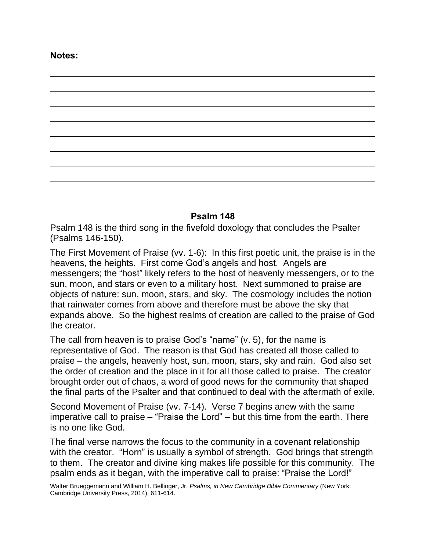#### **Psalm 148**

Psalm 148 is the third song in the fivefold doxology that concludes the Psalter (Psalms 146-150).

The First Movement of Praise (vv. 1-6): In this first poetic unit, the praise is in the heavens, the heights. First come God's angels and host. Angels are messengers; the "host" likely refers to the host of heavenly messengers, or to the sun, moon, and stars or even to a military host. Next summoned to praise are objects of nature: sun, moon, stars, and sky. The cosmology includes the notion that rainwater comes from above and therefore must be above the sky that expands above. So the highest realms of creation are called to the praise of God the creator.

The call from heaven is to praise God's "name" (v. 5), for the name is representative of God. The reason is that God has created all those called to praise – the angels, heavenly host, sun, moon, stars, sky and rain. God also set the order of creation and the place in it for all those called to praise. The creator brought order out of chaos, a word of good news for the community that shaped the final parts of the Psalter and that continued to deal with the aftermath of exile.

Second Movement of Praise (vv. 7-14). Verse 7 begins anew with the same imperative call to praise – "Praise the Lord" – but this time from the earth. There is no one like God.

The final verse narrows the focus to the community in a covenant relationship with the creator. "Horn" is usually a symbol of strength. God brings that strength to them. The creator and divine king makes life possible for this community. The psalm ends as it began, with the imperative call to praise: "Praise the Lord!"

Walter Brueggemann and William H. Bellinger, Jr. *Psalms, in New Cambridge Bible Commentary* (New York: Cambridge University Press, 2014), 611-614.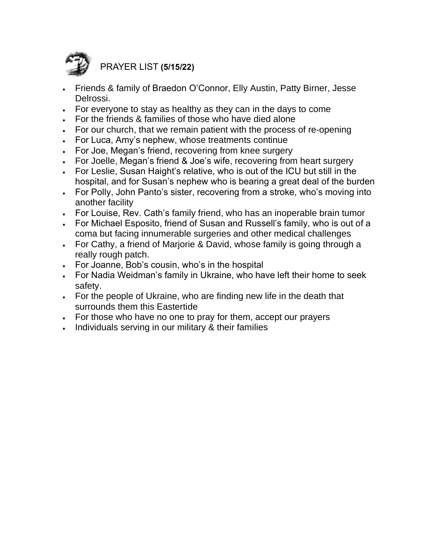

PRAYER LIST **(5/15/22)**

- Friends & family of Braedon O'Connor, Elly Austin, Patty Birner, Jesse Delrossi.
- For everyone to stay as healthy as they can in the days to come
- For the friends & families of those who have died alone
- For our church, that we remain patient with the process of re-opening
- For Luca, Amy's nephew, whose treatments continue
- For Joe, Megan's friend, recovering from knee surgery
- For Joelle, Megan's friend & Joe's wife, recovering from heart surgery
- For Leslie, Susan Haight's relative, who is out of the ICU but still in the hospital, and for Susan's nephew who is bearing a great deal of the burden
- For Polly, John Panto's sister, recovering from a stroke, who's moving into another facility
- For Louise, Rev. Cath's family friend, who has an inoperable brain tumor
- For Michael Esposito, friend of Susan and Russell's family, who is out of a coma but facing innumerable surgeries and other medical challenges
- For Cathy, a friend of Marjorie & David, whose family is going through a really rough patch.
- For Joanne, Bob's cousin, who's in the hospital
- For Nadia Weidman's family in Ukraine, who have left their home to seek safety.
- For the people of Ukraine, who are finding new life in the death that surrounds them this Eastertide
- For those who have no one to pray for them, accept our prayers
- Individuals serving in our military & their families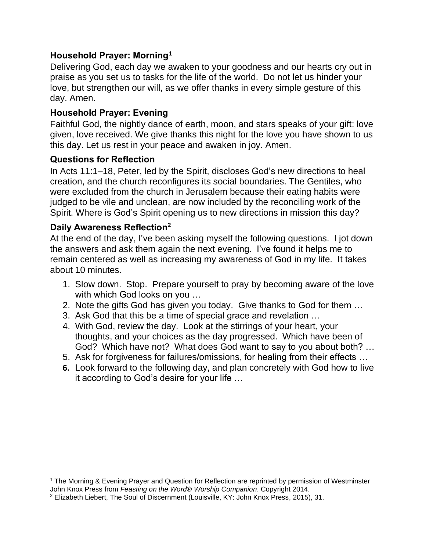## **Household Prayer: Morning<sup>1</sup>**

Delivering God, each day we awaken to your goodness and our hearts cry out in praise as you set us to tasks for the life of the world. Do not let us hinder your love, but strengthen our will, as we offer thanks in every simple gesture of this day. Amen.

## **Household Prayer: Evening**

Faithful God, the nightly dance of earth, moon, and stars speaks of your gift: love given, love received. We give thanks this night for the love you have shown to us this day. Let us rest in your peace and awaken in joy. Amen.

## **Questions for Reflection**

In Acts 11:1–18, Peter, led by the Spirit, discloses God's new directions to heal creation, and the church reconfigures its social boundaries. The Gentiles, who were excluded from the church in Jerusalem because their eating habits were judged to be vile and unclean, are now included by the reconciling work of the Spirit. Where is God's Spirit opening us to new directions in mission this day?

### **Daily Awareness Reflection<sup>2</sup>**

At the end of the day, I've been asking myself the following questions. I jot down the answers and ask them again the next evening. I've found it helps me to remain centered as well as increasing my awareness of God in my life. It takes about 10 minutes.

- 1. Slow down. Stop. Prepare yourself to pray by becoming aware of the love with which God looks on you …
- 2. Note the gifts God has given you today. Give thanks to God for them …
- 3. Ask God that this be a time of special grace and revelation …
- 4. With God, review the day. Look at the stirrings of your heart, your thoughts, and your choices as the day progressed. Which have been of God? Which have not? What does God want to say to you about both? …
- 5. Ask for forgiveness for failures/omissions, for healing from their effects …
- **6.** Look forward to the following day, and plan concretely with God how to live it according to God's desire for your life …

<sup>1</sup> The Morning & Evening Prayer and Question for Reflection are reprinted by permission of Westminster John Knox Press from *Feasting on the Word*® *Worship Companion*. Copyright 2014.

<sup>2</sup> Elizabeth Liebert, The Soul of Discernment (Louisville, KY: John Knox Press, 2015), 31.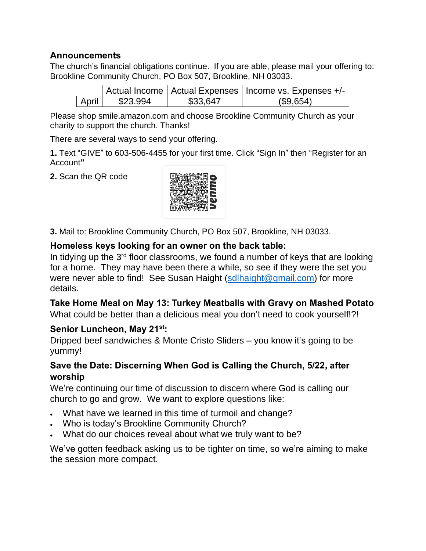### **Announcements**

The church's financial obligations continue. If you are able, please mail your offering to: Brookline Community Church, PO Box 507, Brookline, NH 03033.

|       |          |          | Actual Income   Actual Expenses   Income vs. Expenses +/- |
|-------|----------|----------|-----------------------------------------------------------|
| April | \$23.994 | \$33,647 | (\$9,654)                                                 |

Please shop smile.amazon.com and choose Brookline Community Church as your charity to support the church. Thanks!

There are several ways to send your offering.

**1.** Text "GIVE" to 603-506-4455 for your first time. Click "Sign In" then "Register for an Account**"**

**2.** Scan the QR code



**3.** Mail to: Brookline Community Church, PO Box 507, Brookline, NH 03033.

### **Homeless keys looking for an owner on the back table:**

In tidying up the 3<sup>rd</sup> floor classrooms, we found a number of keys that are looking for a home. They may have been there a while, so see if they were the set you were never able to find! See Susan Haight [\(sdlhaight@gmail.com\)](mailto:sdlhaight@gmail.com) for more details.

### **Take Home Meal on May 13: Turkey Meatballs with Gravy on Mashed Potato**

What could be better than a delicious meal you don't need to cook yourself!?!

### **Senior Luncheon, May 21st:**

Dripped beef sandwiches & Monte Cristo Sliders – you know it's going to be yummy!

### **Save the Date: Discerning When God is Calling the Church, 5/22, after worship**

We're continuing our time of discussion to discern where God is calling our church to go and grow. We want to explore questions like:

- What have we learned in this time of turmoil and change?
- Who is today's Brookline Community Church?
- What do our choices reveal about what we truly want to be?

We've gotten feedback asking us to be tighter on time, so we're aiming to make the session more compact.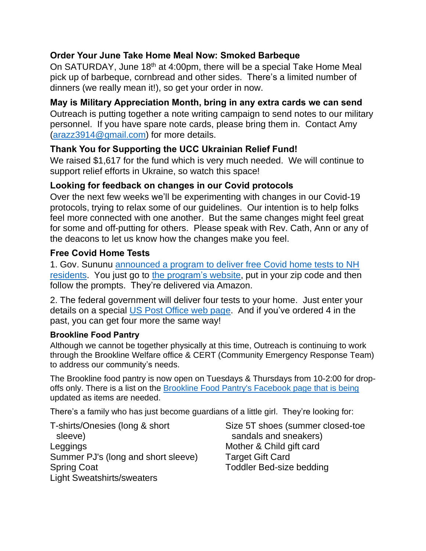## **Order Your June Take Home Meal Now: Smoked Barbeque**

On SATURDAY, June 18<sup>th</sup> at 4:00pm, there will be a special Take Home Meal pick up of barbeque, cornbread and other sides. There's a limited number of dinners (we really mean it!), so get your order in now.

### **May is Military Appreciation Month, bring in any extra cards we can send**

Outreach is putting together a note writing campaign to send notes to our military personnel. If you have spare note cards, please bring them in. Contact Amy [\(arazz3914@gmail.com\)](mailto:arazz3914@gmail.com) for more details.

### **Thank You for Supporting the UCC Ukrainian Relief Fund!**

We raised \$1,617 for the fund which is very much needed. We will continue to support relief efforts in Ukraine, so watch this space!

### **Looking for feedback on changes in our Covid protocols**

Over the next few weeks we'll be experimenting with changes in our Covid-19 protocols, trying to relax some of our guidelines. Our intention is to help folks feel more connected with one another. But the same changes might feel great for some and off-putting for others. Please speak with Rev. Cath, Ann or any of the deacons to let us know how the changes make you feel.

### **Free Covid Home Tests**

1. Gov. Sununu [announced](https://www.governor.nh.gov/news-and-media/free-home-rapid-covid-19-tests-now-available-new-hampshire-residents) a program to deliver free Covid home tests to NH [residents.](https://www.governor.nh.gov/news-and-media/free-home-rapid-covid-19-tests-now-available-new-hampshire-residents) You just go to the [program's](https://sayyescovidhometest.org/) website, put in your zip code and then follow the prompts. They're delivered via Amazon.

2. The federal government will deliver four tests to your home. Just enter your details on a special US Post [Office](https://special.usps.com/testkits) web page. And if you've ordered 4 in the past, you can get four more the same way!

#### **Brookline Food Pantry**

Although we cannot be together physically at this time, Outreach is continuing to work through the Brookline Welfare office & CERT (Community Emergency Response Team) to address our community's needs.

The Brookline food pantry is now open on Tuesdays & Thursdays from 10-2:00 for dropoffs only. There is a list on the Brookline Food Pantry's [Facebook](https://www.facebook.com/BrooklineFP/) page that is being updated as items are needed.

There's a family who has just become guardians of a little girl. They're looking for:

T-shirts/Onesies (long & short sleeve) Leggings Summer PJ's (long and short sleeve) Spring Coat Light Sweatshirts/sweaters

Size 5T shoes (summer closed-toe sandals and sneakers) Mother & Child gift card Target Gift Card Toddler Bed-size bedding